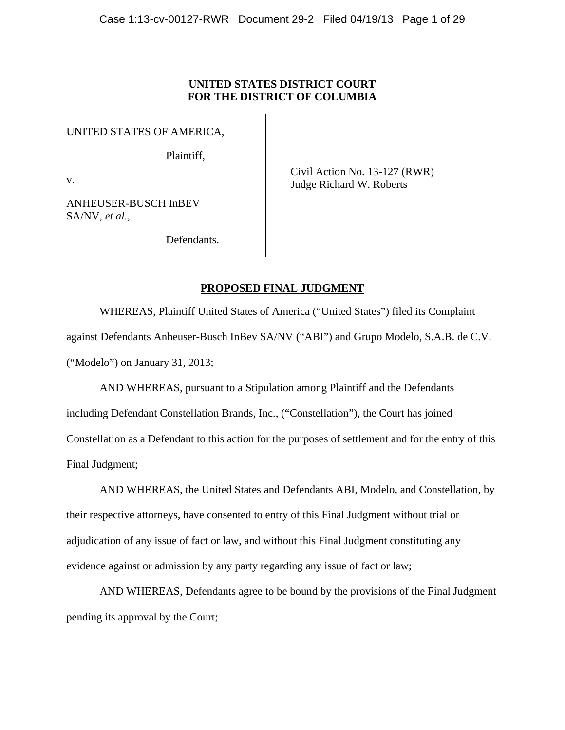# **UNITED STATES DISTRICT COURT FOR THE DISTRICT OF COLUMBIA**

UNITED STATES OF AMERICA,

Plaintiff,

v.

ANHEUSER-BUSCH InBEV SA/NV, *et al.*,

Civil Action No. 13-127 (RWR) Judge Richard W. Roberts

Defendants.

# **PROPOSED FINAL JUDGMENT**

WHEREAS, Plaintiff United States of America ("United States") filed its Complaint against Defendants Anheuser-Busch InBev SA/NV ("ABI") and Grupo Modelo, S.A.B. de C.V. ("Modelo") on January 31, 2013;

AND WHEREAS, pursuant to a Stipulation among Plaintiff and the Defendants including Defendant Constellation Brands, Inc., ("Constellation"), the Court has joined Constellation as a Defendant to this action for the purposes of settlement and for the entry of this Final Judgment;

AND WHEREAS, the United States and Defendants ABI, Modelo, and Constellation, by their respective attorneys, have consented to entry of this Final Judgment without trial or adjudication of any issue of fact or law, and without this Final Judgment constituting any evidence against or admission by any party regarding any issue of fact or law;

AND WHEREAS, Defendants agree to be bound by the provisions of the Final Judgment pending its approval by the Court;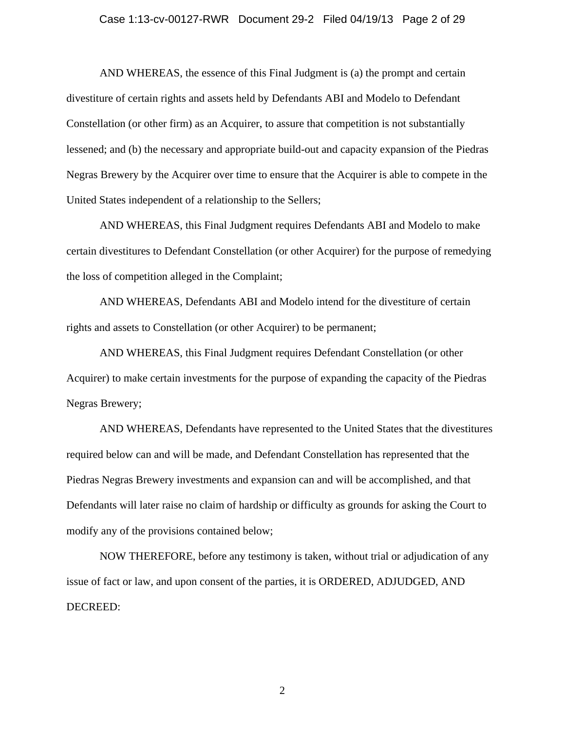#### Case 1:13-cv-00127-RWR Document 29-2 Filed 04/19/13 Page 2 of 29

AND WHEREAS, the essence of this Final Judgment is (a) the prompt and certain divestiture of certain rights and assets held by Defendants ABI and Modelo to Defendant Constellation (or other firm) as an Acquirer, to assure that competition is not substantially lessened; and (b) the necessary and appropriate build-out and capacity expansion of the Piedras Negras Brewery by the Acquirer over time to ensure that the Acquirer is able to compete in the United States independent of a relationship to the Sellers;

AND WHEREAS, this Final Judgment requires Defendants ABI and Modelo to make certain divestitures to Defendant Constellation (or other Acquirer) for the purpose of remedying the loss of competition alleged in the Complaint;

AND WHEREAS, Defendants ABI and Modelo intend for the divestiture of certain rights and assets to Constellation (or other Acquirer) to be permanent;

AND WHEREAS, this Final Judgment requires Defendant Constellation (or other Acquirer) to make certain investments for the purpose of expanding the capacity of the Piedras Negras Brewery;

AND WHEREAS, Defendants have represented to the United States that the divestitures required below can and will be made, and Defendant Constellation has represented that the Piedras Negras Brewery investments and expansion can and will be accomplished, and that Defendants will later raise no claim of hardship or difficulty as grounds for asking the Court to modify any of the provisions contained below;

NOW THEREFORE, before any testimony is taken, without trial or adjudication of any issue of fact or law, and upon consent of the parties, it is ORDERED, ADJUDGED, AND DECREED: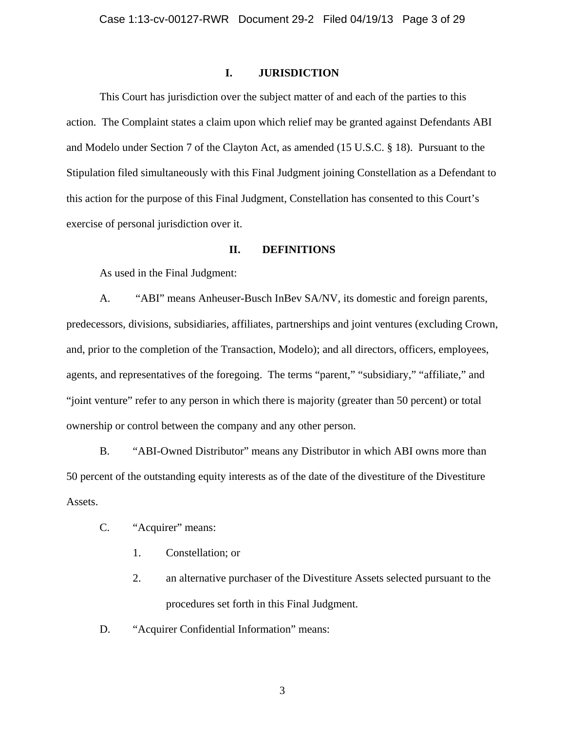### **I. JURISDICTION**

This Court has jurisdiction over the subject matter of and each of the parties to this action. The Complaint states a claim upon which relief may be granted against Defendants ABI and Modelo under Section 7 of the Clayton Act, as amended (15 U.S.C. § 18). Pursuant to the Stipulation filed simultaneously with this Final Judgment joining Constellation as a Defendant to this action for the purpose of this Final Judgment, Constellation has consented to this Court's exercise of personal jurisdiction over it.

## **II. DEFINITIONS**

As used in the Final Judgment:

A. "ABI" means Anheuser-Busch InBev SA/NV, its domestic and foreign parents, predecessors, divisions, subsidiaries, affiliates, partnerships and joint ventures (excluding Crown, and, prior to the completion of the Transaction, Modelo); and all directors, officers, employees, agents, and representatives of the foregoing. The terms "parent," "subsidiary," "affiliate," and "joint venture" refer to any person in which there is majority (greater than 50 percent) or total ownership or control between the company and any other person.

B. "ABI-Owned Distributor" means any Distributor in which ABI owns more than 50 percent of the outstanding equity interests as of the date of the divestiture of the Divestiture Assets.

- C. "Acquirer" means:
	- 1. Constellation; or
	- 2. an alternative purchaser of the Divestiture Assets selected pursuant to the procedures set forth in this Final Judgment.
- D. "Acquirer Confidential Information" means: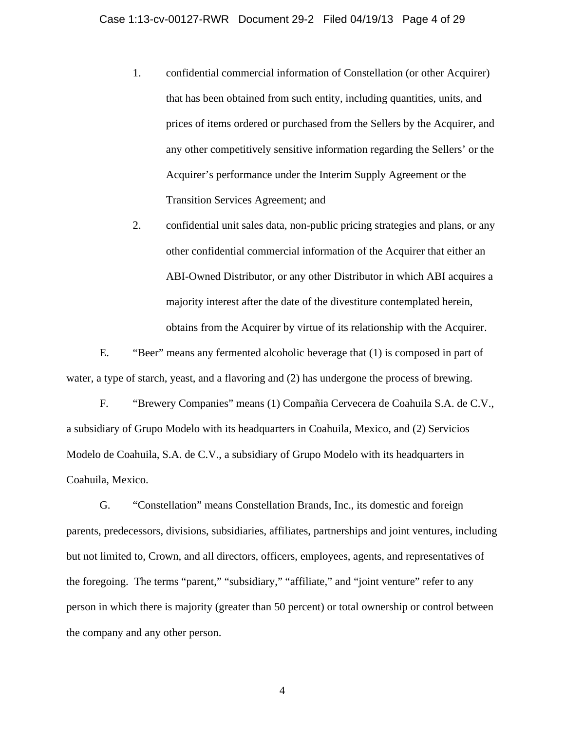- 1. confidential commercial information of Constellation (or other Acquirer) that has been obtained from such entity, including quantities, units, and prices of items ordered or purchased from the Sellers by the Acquirer, and any other competitively sensitive information regarding the Sellers' or the Acquirer's performance under the Interim Supply Agreement or the Transition Services Agreement; and
- 2. confidential unit sales data, non-public pricing strategies and plans, or any other confidential commercial information of the Acquirer that either an ABI-Owned Distributor, or any other Distributor in which ABI acquires a majority interest after the date of the divestiture contemplated herein, obtains from the Acquirer by virtue of its relationship with the Acquirer.

E. "Beer" means any fermented alcoholic beverage that (1) is composed in part of water, a type of starch, yeast, and a flavoring and (2) has undergone the process of brewing.

F. "Brewery Companies" means (1) Compañia Cervecera de Coahuila S.A. de C.V., a subsidiary of Grupo Modelo with its headquarters in Coahuila, Mexico, and (2) Servicios Modelo de Coahuila, S.A. de C.V., a subsidiary of Grupo Modelo with its headquarters in Coahuila, Mexico.

G. "Constellation" means Constellation Brands, Inc., its domestic and foreign parents, predecessors, divisions, subsidiaries, affiliates, partnerships and joint ventures, including but not limited to, Crown, and all directors, officers, employees, agents, and representatives of the foregoing. The terms "parent," "subsidiary," "affiliate," and "joint venture" refer to any person in which there is majority (greater than 50 percent) or total ownership or control between the company and any other person.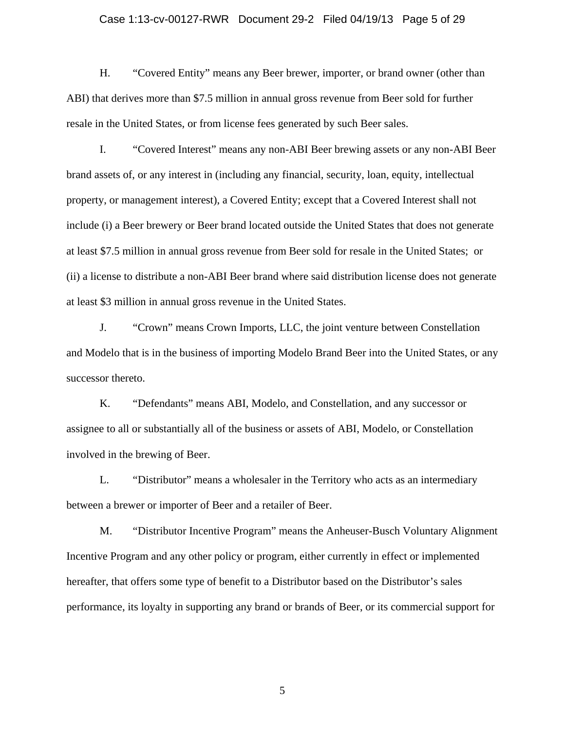## Case 1:13-cv-00127-RWR Document 29-2 Filed 04/19/13 Page 5 of 29

H. "Covered Entity" means any Beer brewer, importer, or brand owner (other than ABI) that derives more than \$7.5 million in annual gross revenue from Beer sold for further resale in the United States, or from license fees generated by such Beer sales.

I. "Covered Interest" means any non-ABI Beer brewing assets or any non-ABI Beer brand assets of, or any interest in (including any financial, security, loan, equity, intellectual property, or management interest), a Covered Entity; except that a Covered Interest shall not include (i) a Beer brewery or Beer brand located outside the United States that does not generate at least \$7.5 million in annual gross revenue from Beer sold for resale in the United States; or (ii) a license to distribute a non-ABI Beer brand where said distribution license does not generate at least \$3 million in annual gross revenue in the United States.

J. "Crown" means Crown Imports, LLC, the joint venture between Constellation and Modelo that is in the business of importing Modelo Brand Beer into the United States, or any successor thereto.

K. "Defendants" means ABI, Modelo, and Constellation, and any successor or assignee to all or substantially all of the business or assets of ABI, Modelo, or Constellation involved in the brewing of Beer.

L. "Distributor" means a wholesaler in the Territory who acts as an intermediary between a brewer or importer of Beer and a retailer of Beer.

M. "Distributor Incentive Program" means the Anheuser-Busch Voluntary Alignment Incentive Program and any other policy or program, either currently in effect or implemented hereafter, that offers some type of benefit to a Distributor based on the Distributor's sales performance, its loyalty in supporting any brand or brands of Beer, or its commercial support for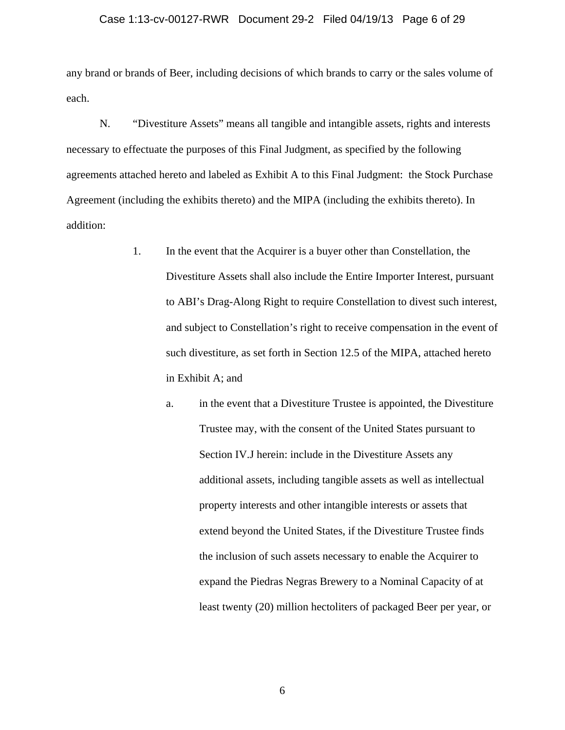#### Case 1:13-cv-00127-RWR Document 29-2 Filed 04/19/13 Page 6 of 29

any brand or brands of Beer, including decisions of which brands to carry or the sales volume of each.

N. "Divestiture Assets" means all tangible and intangible assets, rights and interests necessary to effectuate the purposes of this Final Judgment, as specified by the following agreements attached hereto and labeled as Exhibit A to this Final Judgment: the Stock Purchase Agreement (including the exhibits thereto) and the MIPA (including the exhibits thereto). In addition:

- 1. In the event that the Acquirer is a buyer other than Constellation, the Divestiture Assets shall also include the Entire Importer Interest, pursuant to ABI's Drag-Along Right to require Constellation to divest such interest, and subject to Constellation's right to receive compensation in the event of such divestiture, as set forth in Section 12.5 of the MIPA, attached hereto in Exhibit A; and
	- a. in the event that a Divestiture Trustee is appointed, the Divestiture Trustee may, with the consent of the United States pursuant to Section IV.J herein: include in the Divestiture Assets any additional assets, including tangible assets as well as intellectual property interests and other intangible interests or assets that extend beyond the United States, if the Divestiture Trustee finds the inclusion of such assets necessary to enable the Acquirer to expand the Piedras Negras Brewery to a Nominal Capacity of at least twenty (20) million hectoliters of packaged Beer per year, or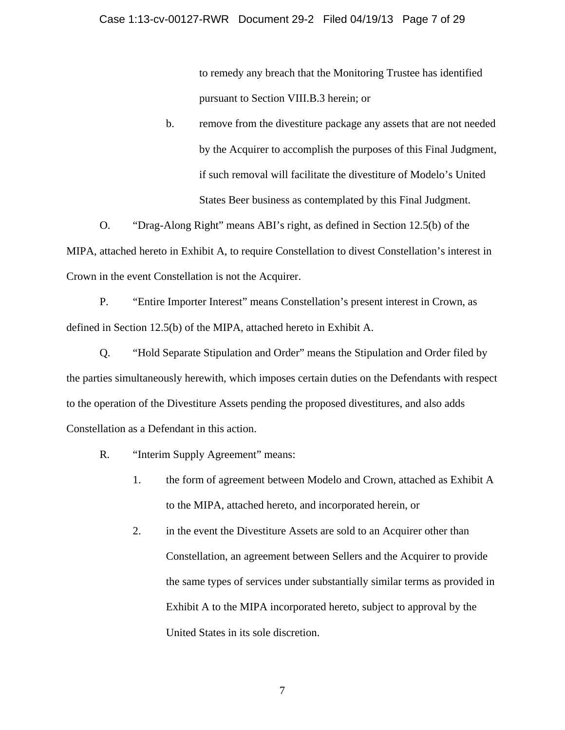to remedy any breach that the Monitoring Trustee has identified pursuant to Section VIII.B.3 herein; or

b. remove from the divestiture package any assets that are not needed by the Acquirer to accomplish the purposes of this Final Judgment, if such removal will facilitate the divestiture of Modelo's United States Beer business as contemplated by this Final Judgment.

O. "Drag-Along Right" means ABI's right, as defined in Section 12.5(b) of the MIPA, attached hereto in Exhibit A, to require Constellation to divest Constellation's interest in Crown in the event Constellation is not the Acquirer.

P. "Entire Importer Interest" means Constellation's present interest in Crown, as defined in Section 12.5(b) of the MIPA, attached hereto in Exhibit A.

Q. "Hold Separate Stipulation and Order" means the Stipulation and Order filed by the parties simultaneously herewith, which imposes certain duties on the Defendants with respect to the operation of the Divestiture Assets pending the proposed divestitures, and also adds Constellation as a Defendant in this action.

- R. "Interim Supply Agreement" means:
	- 1. the form of agreement between Modelo and Crown, attached as Exhibit A to the MIPA, attached hereto, and incorporated herein, or
	- 2. in the event the Divestiture Assets are sold to an Acquirer other than Constellation, an agreement between Sellers and the Acquirer to provide the same types of services under substantially similar terms as provided in Exhibit A to the MIPA incorporated hereto, subject to approval by the United States in its sole discretion.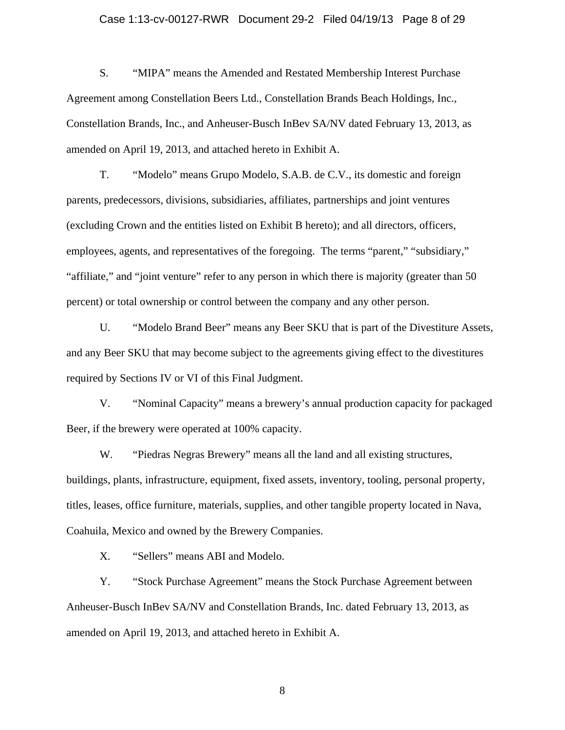#### Case 1:13-cv-00127-RWR Document 29-2 Filed 04/19/13 Page 8 of 29

S. "MIPA" means the Amended and Restated Membership Interest Purchase Agreement among Constellation Beers Ltd., Constellation Brands Beach Holdings, Inc., Constellation Brands, Inc., and Anheuser-Busch InBev SA/NV dated February 13, 2013, as amended on April 19, 2013, and attached hereto in Exhibit A.

T. "Modelo" means Grupo Modelo, S.A.B. de C.V., its domestic and foreign parents, predecessors, divisions, subsidiaries, affiliates, partnerships and joint ventures (excluding Crown and the entities listed on Exhibit B hereto); and all directors, officers, employees, agents, and representatives of the foregoing. The terms "parent," "subsidiary," "affiliate," and "joint venture" refer to any person in which there is majority (greater than 50 percent) or total ownership or control between the company and any other person.

U. "Modelo Brand Beer" means any Beer SKU that is part of the Divestiture Assets, and any Beer SKU that may become subject to the agreements giving effect to the divestitures required by Sections IV or VI of this Final Judgment.

V. "Nominal Capacity" means a brewery's annual production capacity for packaged Beer, if the brewery were operated at 100% capacity.

W. "Piedras Negras Brewery" means all the land and all existing structures, buildings, plants, infrastructure, equipment, fixed assets, inventory, tooling, personal property, titles, leases, office furniture, materials, supplies, and other tangible property located in Nava, Coahuila, Mexico and owned by the Brewery Companies.

X. "Sellers" means ABI and Modelo.

Y. "Stock Purchase Agreement" means the Stock Purchase Agreement between Anheuser-Busch InBev SA/NV and Constellation Brands, Inc. dated February 13, 2013, as amended on April 19, 2013, and attached hereto in Exhibit A.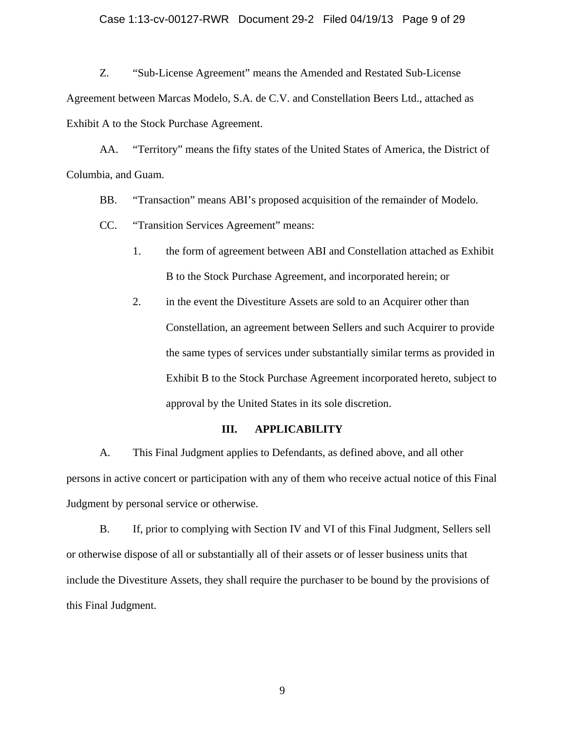### Case 1:13-cv-00127-RWR Document 29-2 Filed 04/19/13 Page 9 of 29

Z. "Sub-License Agreement" means the Amended and Restated Sub-License Agreement between Marcas Modelo, S.A. de C.V. and Constellation Beers Ltd., attached as Exhibit A to the Stock Purchase Agreement.

AA. "Territory" means the fifty states of the United States of America, the District of Columbia, and Guam.

BB. "Transaction" means ABI's proposed acquisition of the remainder of Modelo.

CC. "Transition Services Agreement" means:

- 1. the form of agreement between ABI and Constellation attached as Exhibit B to the Stock Purchase Agreement, and incorporated herein; or
- 2. in the event the Divestiture Assets are sold to an Acquirer other than Constellation, an agreement between Sellers and such Acquirer to provide the same types of services under substantially similar terms as provided in Exhibit B to the Stock Purchase Agreement incorporated hereto, subject to approval by the United States in its sole discretion.

#### **III. APPLICABILITY**

A. This Final Judgment applies to Defendants, as defined above, and all other persons in active concert or participation with any of them who receive actual notice of this Final Judgment by personal service or otherwise.

B. If, prior to complying with Section IV and VI of this Final Judgment, Sellers sell or otherwise dispose of all or substantially all of their assets or of lesser business units that include the Divestiture Assets, they shall require the purchaser to be bound by the provisions of this Final Judgment.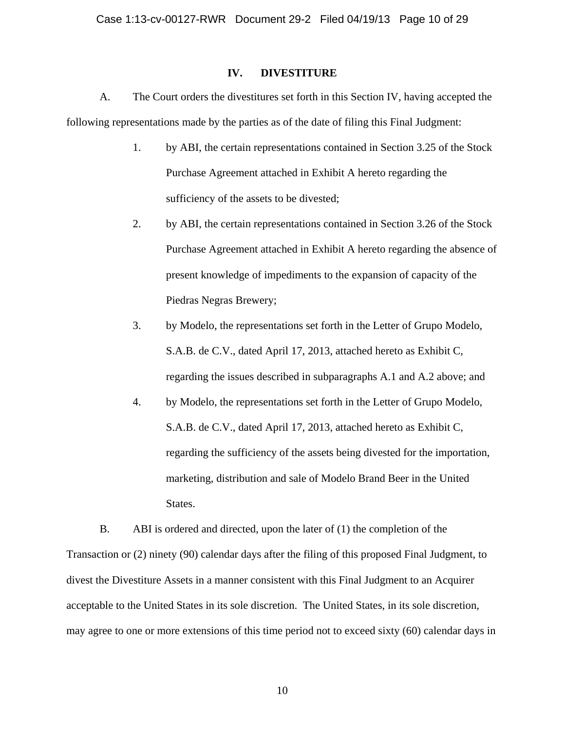## **IV. DIVESTITURE**

A. The Court orders the divestitures set forth in this Section IV, having accepted the following representations made by the parties as of the date of filing this Final Judgment:

- 1. by ABI, the certain representations contained in Section 3.25 of the Stock Purchase Agreement attached in Exhibit A hereto regarding the sufficiency of the assets to be divested;
- 2. by ABI, the certain representations contained in Section 3.26 of the Stock Purchase Agreement attached in Exhibit A hereto regarding the absence of present knowledge of impediments to the expansion of capacity of the Piedras Negras Brewery;
- 3. by Modelo, the representations set forth in the Letter of Grupo Modelo, S.A.B. de C.V., dated April 17, 2013, attached hereto as Exhibit C, regarding the issues described in subparagraphs A.1 and A.2 above; and
- 4. by Modelo, the representations set forth in the Letter of Grupo Modelo, S.A.B. de C.V., dated April 17, 2013, attached hereto as Exhibit C, regarding the sufficiency of the assets being divested for the importation, marketing, distribution and sale of Modelo Brand Beer in the United States.

B. ABI is ordered and directed, upon the later of (1) the completion of the Transaction or (2) ninety (90) calendar days after the filing of this proposed Final Judgment, to divest the Divestiture Assets in a manner consistent with this Final Judgment to an Acquirer acceptable to the United States in its sole discretion. The United States, in its sole discretion, may agree to one or more extensions of this time period not to exceed sixty (60) calendar days in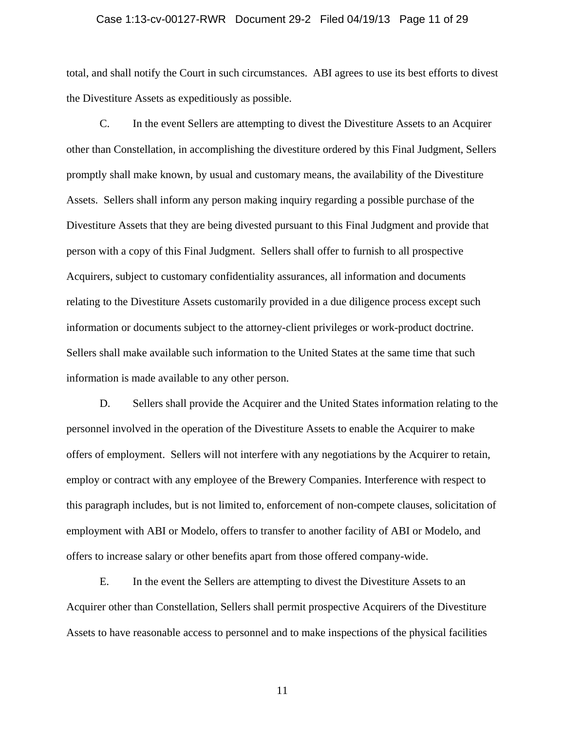## Case 1:13-cv-00127-RWR Document 29-2 Filed 04/19/13 Page 11 of 29

total, and shall notify the Court in such circumstances. ABI agrees to use its best efforts to divest the Divestiture Assets as expeditiously as possible.

C. In the event Sellers are attempting to divest the Divestiture Assets to an Acquirer other than Constellation, in accomplishing the divestiture ordered by this Final Judgment, Sellers promptly shall make known, by usual and customary means, the availability of the Divestiture Assets. Sellers shall inform any person making inquiry regarding a possible purchase of the Divestiture Assets that they are being divested pursuant to this Final Judgment and provide that person with a copy of this Final Judgment. Sellers shall offer to furnish to all prospective Acquirers, subject to customary confidentiality assurances, all information and documents relating to the Divestiture Assets customarily provided in a due diligence process except such information or documents subject to the attorney-client privileges or work-product doctrine. Sellers shall make available such information to the United States at the same time that such information is made available to any other person.

D. Sellers shall provide the Acquirer and the United States information relating to the personnel involved in the operation of the Divestiture Assets to enable the Acquirer to make offers of employment. Sellers will not interfere with any negotiations by the Acquirer to retain, employ or contract with any employee of the Brewery Companies. Interference with respect to this paragraph includes, but is not limited to, enforcement of non-compete clauses, solicitation of employment with ABI or Modelo, offers to transfer to another facility of ABI or Modelo, and offers to increase salary or other benefits apart from those offered company-wide.

E. In the event the Sellers are attempting to divest the Divestiture Assets to an Acquirer other than Constellation, Sellers shall permit prospective Acquirers of the Divestiture Assets to have reasonable access to personnel and to make inspections of the physical facilities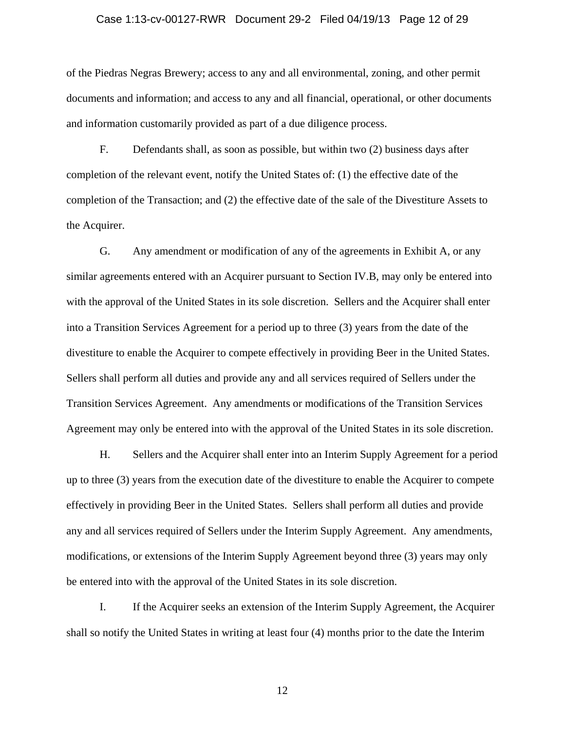#### Case 1:13-cv-00127-RWR Document 29-2 Filed 04/19/13 Page 12 of 29

of the Piedras Negras Brewery; access to any and all environmental, zoning, and other permit documents and information; and access to any and all financial, operational, or other documents and information customarily provided as part of a due diligence process.

F. Defendants shall, as soon as possible, but within two (2) business days after completion of the relevant event, notify the United States of: (1) the effective date of the completion of the Transaction; and (2) the effective date of the sale of the Divestiture Assets to the Acquirer.

G. Any amendment or modification of any of the agreements in Exhibit A, or any similar agreements entered with an Acquirer pursuant to Section IV.B, may only be entered into with the approval of the United States in its sole discretion. Sellers and the Acquirer shall enter into a Transition Services Agreement for a period up to three (3) years from the date of the divestiture to enable the Acquirer to compete effectively in providing Beer in the United States. Sellers shall perform all duties and provide any and all services required of Sellers under the Transition Services Agreement. Any amendments or modifications of the Transition Services Agreement may only be entered into with the approval of the United States in its sole discretion.

H. Sellers and the Acquirer shall enter into an Interim Supply Agreement for a period up to three (3) years from the execution date of the divestiture to enable the Acquirer to compete effectively in providing Beer in the United States. Sellers shall perform all duties and provide any and all services required of Sellers under the Interim Supply Agreement. Any amendments, modifications, or extensions of the Interim Supply Agreement beyond three (3) years may only be entered into with the approval of the United States in its sole discretion.

I. If the Acquirer seeks an extension of the Interim Supply Agreement, the Acquirer shall so notify the United States in writing at least four (4) months prior to the date the Interim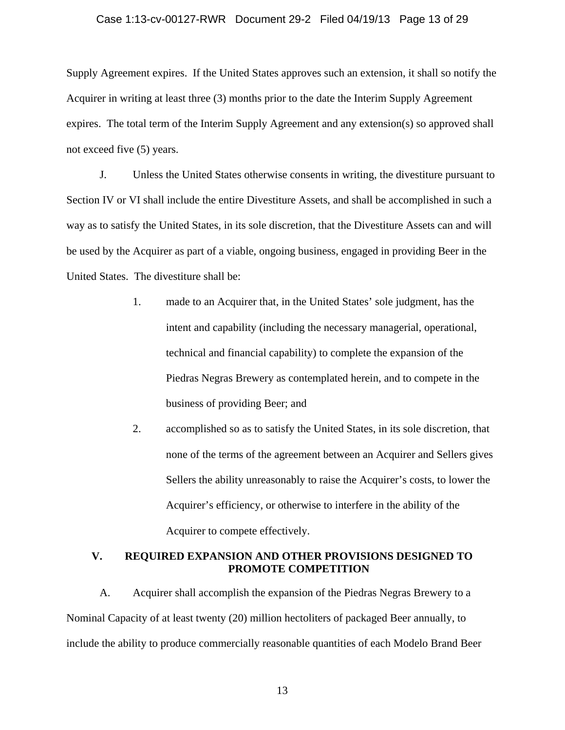### Case 1:13-cv-00127-RWR Document 29-2 Filed 04/19/13 Page 13 of 29

Supply Agreement expires. If the United States approves such an extension, it shall so notify the Acquirer in writing at least three (3) months prior to the date the Interim Supply Agreement expires. The total term of the Interim Supply Agreement and any extension(s) so approved shall not exceed five (5) years.

J. Unless the United States otherwise consents in writing, the divestiture pursuant to Section IV or VI shall include the entire Divestiture Assets, and shall be accomplished in such a way as to satisfy the United States, in its sole discretion, that the Divestiture Assets can and will be used by the Acquirer as part of a viable, ongoing business, engaged in providing Beer in the United States. The divestiture shall be:

- 1. made to an Acquirer that, in the United States' sole judgment, has the intent and capability (including the necessary managerial, operational, technical and financial capability) to complete the expansion of the Piedras Negras Brewery as contemplated herein, and to compete in the business of providing Beer; and
- 2. accomplished so as to satisfy the United States, in its sole discretion, that none of the terms of the agreement between an Acquirer and Sellers gives Sellers the ability unreasonably to raise the Acquirer's costs, to lower the Acquirer's efficiency, or otherwise to interfere in the ability of the Acquirer to compete effectively.

## **V. REQUIRED EXPANSION AND OTHER PROVISIONS DESIGNED TO PROMOTE COMPETITION**

A. Acquirer shall accomplish the expansion of the Piedras Negras Brewery to a Nominal Capacity of at least twenty (20) million hectoliters of packaged Beer annually, to include the ability to produce commercially reasonable quantities of each Modelo Brand Beer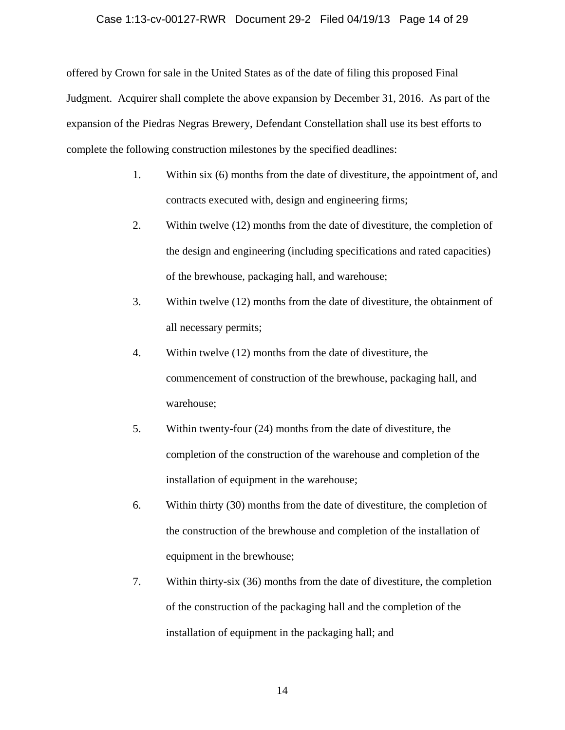### Case 1:13-cv-00127-RWR Document 29-2 Filed 04/19/13 Page 14 of 29

offered by Crown for sale in the United States as of the date of filing this proposed Final Judgment. Acquirer shall complete the above expansion by December 31, 2016. As part of the expansion of the Piedras Negras Brewery, Defendant Constellation shall use its best efforts to complete the following construction milestones by the specified deadlines:

- 1. Within six (6) months from the date of divestiture, the appointment of, and contracts executed with, design and engineering firms;
- 2. Within twelve (12) months from the date of divestiture, the completion of the design and engineering (including specifications and rated capacities) of the brewhouse, packaging hall, and warehouse;
- 3. Within twelve (12) months from the date of divestiture, the obtainment of all necessary permits;
- 4. Within twelve (12) months from the date of divestiture, the commencement of construction of the brewhouse, packaging hall, and warehouse;
- 5. Within twenty-four (24) months from the date of divestiture, the completion of the construction of the warehouse and completion of the installation of equipment in the warehouse;
- 6. Within thirty (30) months from the date of divestiture, the completion of the construction of the brewhouse and completion of the installation of equipment in the brewhouse;
- 7. Within thirty-six (36) months from the date of divestiture, the completion of the construction of the packaging hall and the completion of the installation of equipment in the packaging hall; and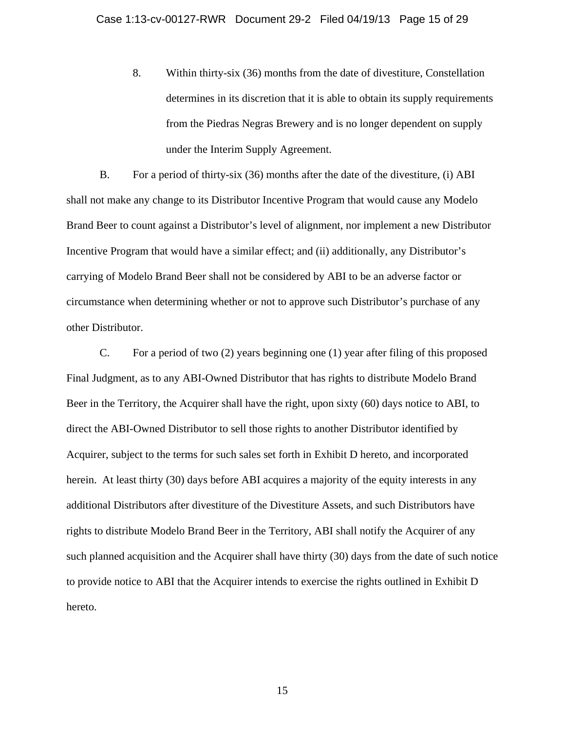8. Within thirty-six (36) months from the date of divestiture, Constellation determines in its discretion that it is able to obtain its supply requirements from the Piedras Negras Brewery and is no longer dependent on supply under the Interim Supply Agreement.

B. For a period of thirty-six (36) months after the date of the divestiture, (i) ABI shall not make any change to its Distributor Incentive Program that would cause any Modelo Brand Beer to count against a Distributor's level of alignment, nor implement a new Distributor Incentive Program that would have a similar effect; and (ii) additionally, any Distributor's carrying of Modelo Brand Beer shall not be considered by ABI to be an adverse factor or circumstance when determining whether or not to approve such Distributor's purchase of any other Distributor.

C. For a period of two (2) years beginning one (1) year after filing of this proposed Final Judgment, as to any ABI-Owned Distributor that has rights to distribute Modelo Brand Beer in the Territory, the Acquirer shall have the right, upon sixty (60) days notice to ABI, to direct the ABI-Owned Distributor to sell those rights to another Distributor identified by Acquirer, subject to the terms for such sales set forth in Exhibit D hereto, and incorporated herein. At least thirty (30) days before ABI acquires a majority of the equity interests in any additional Distributors after divestiture of the Divestiture Assets, and such Distributors have rights to distribute Modelo Brand Beer in the Territory, ABI shall notify the Acquirer of any such planned acquisition and the Acquirer shall have thirty (30) days from the date of such notice to provide notice to ABI that the Acquirer intends to exercise the rights outlined in Exhibit D hereto.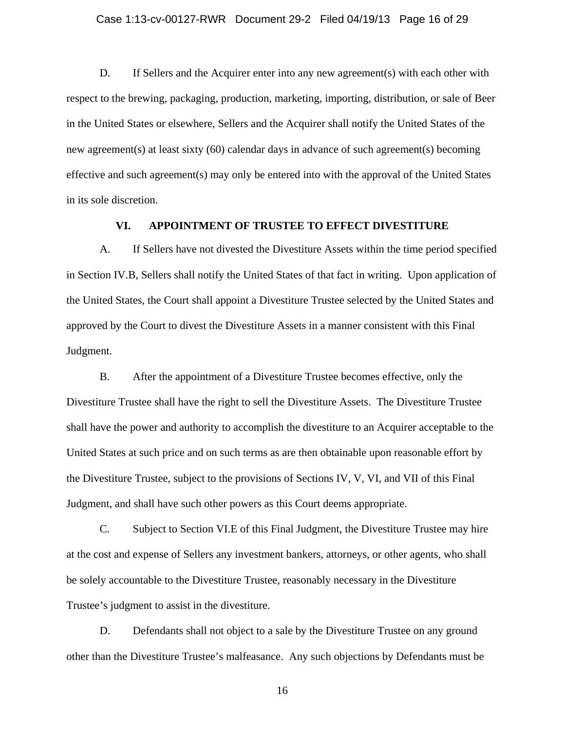### Case 1:13-cv-00127-RWR Document 29-2 Filed 04/19/13 Page 16 of 29

D. If Sellers and the Acquirer enter into any new agreement(s) with each other with respect to the brewing, packaging, production, marketing, importing, distribution, or sale of Beer in the United States or elsewhere, Sellers and the Acquirer shall notify the United States of the new agreement(s) at least sixty (60) calendar days in advance of such agreement(s) becoming effective and such agreement(s) may only be entered into with the approval of the United States in its sole discretion.

## **VI. APPOINTMENT OF TRUSTEE TO EFFECT DIVESTITURE**

A. If Sellers have not divested the Divestiture Assets within the time period specified in Section IV.B, Sellers shall notify the United States of that fact in writing. Upon application of the United States, the Court shall appoint a Divestiture Trustee selected by the United States and approved by the Court to divest the Divestiture Assets in a manner consistent with this Final Judgment.

B. After the appointment of a Divestiture Trustee becomes effective, only the Divestiture Trustee shall have the right to sell the Divestiture Assets. The Divestiture Trustee shall have the power and authority to accomplish the divestiture to an Acquirer acceptable to the United States at such price and on such terms as are then obtainable upon reasonable effort by the Divestiture Trustee, subject to the provisions of Sections IV, V, VI, and VII of this Final Judgment, and shall have such other powers as this Court deems appropriate.

C. Subject to Section VI.E of this Final Judgment, the Divestiture Trustee may hire at the cost and expense of Sellers any investment bankers, attorneys, or other agents, who shall be solely accountable to the Divestiture Trustee, reasonably necessary in the Divestiture Trustee's judgment to assist in the divestiture.

D. Defendants shall not object to a sale by the Divestiture Trustee on any ground other than the Divestiture Trustee's malfeasance. Any such objections by Defendants must be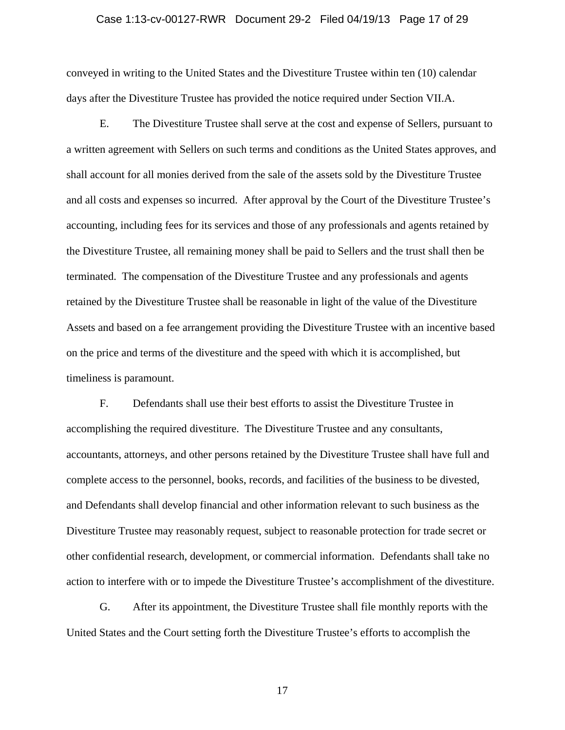#### Case 1:13-cv-00127-RWR Document 29-2 Filed 04/19/13 Page 17 of 29

conveyed in writing to the United States and the Divestiture Trustee within ten (10) calendar days after the Divestiture Trustee has provided the notice required under Section VII.A.

E. The Divestiture Trustee shall serve at the cost and expense of Sellers, pursuant to a written agreement with Sellers on such terms and conditions as the United States approves, and shall account for all monies derived from the sale of the assets sold by the Divestiture Trustee and all costs and expenses so incurred. After approval by the Court of the Divestiture Trustee's accounting, including fees for its services and those of any professionals and agents retained by the Divestiture Trustee, all remaining money shall be paid to Sellers and the trust shall then be terminated. The compensation of the Divestiture Trustee and any professionals and agents retained by the Divestiture Trustee shall be reasonable in light of the value of the Divestiture Assets and based on a fee arrangement providing the Divestiture Trustee with an incentive based on the price and terms of the divestiture and the speed with which it is accomplished, but timeliness is paramount.

F. Defendants shall use their best efforts to assist the Divestiture Trustee in accomplishing the required divestiture. The Divestiture Trustee and any consultants, accountants, attorneys, and other persons retained by the Divestiture Trustee shall have full and complete access to the personnel, books, records, and facilities of the business to be divested, and Defendants shall develop financial and other information relevant to such business as the Divestiture Trustee may reasonably request, subject to reasonable protection for trade secret or other confidential research, development, or commercial information. Defendants shall take no action to interfere with or to impede the Divestiture Trustee's accomplishment of the divestiture.

G. After its appointment, the Divestiture Trustee shall file monthly reports with the United States and the Court setting forth the Divestiture Trustee's efforts to accomplish the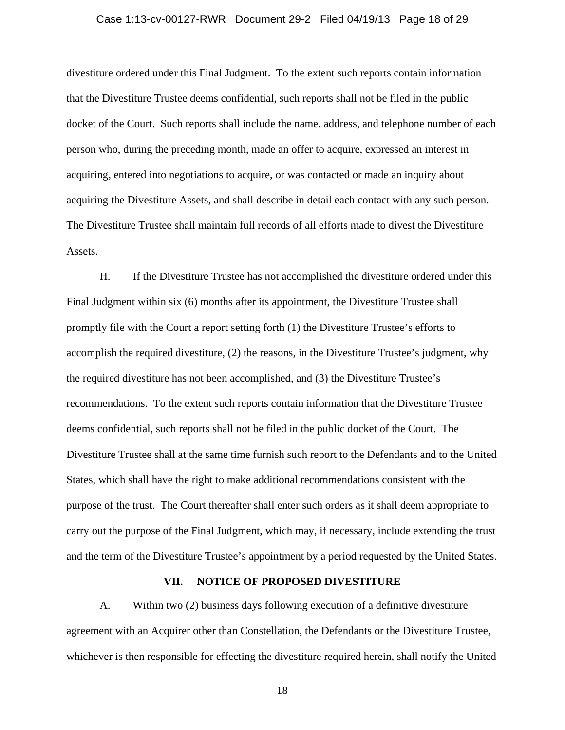### Case 1:13-cv-00127-RWR Document 29-2 Filed 04/19/13 Page 18 of 29

divestiture ordered under this Final Judgment. To the extent such reports contain information that the Divestiture Trustee deems confidential, such reports shall not be filed in the public docket of the Court. Such reports shall include the name, address, and telephone number of each person who, during the preceding month, made an offer to acquire, expressed an interest in acquiring, entered into negotiations to acquire, or was contacted or made an inquiry about acquiring the Divestiture Assets, and shall describe in detail each contact with any such person. The Divestiture Trustee shall maintain full records of all efforts made to divest the Divestiture Assets.

H. If the Divestiture Trustee has not accomplished the divestiture ordered under this Final Judgment within six (6) months after its appointment, the Divestiture Trustee shall promptly file with the Court a report setting forth (1) the Divestiture Trustee's efforts to accomplish the required divestiture, (2) the reasons, in the Divestiture Trustee's judgment, why the required divestiture has not been accomplished, and (3) the Divestiture Trustee's recommendations. To the extent such reports contain information that the Divestiture Trustee deems confidential, such reports shall not be filed in the public docket of the Court. The Divestiture Trustee shall at the same time furnish such report to the Defendants and to the United States, which shall have the right to make additional recommendations consistent with the purpose of the trust. The Court thereafter shall enter such orders as it shall deem appropriate to carry out the purpose of the Final Judgment, which may, if necessary, include extending the trust and the term of the Divestiture Trustee's appointment by a period requested by the United States.

### **VII. NOTICE OF PROPOSED DIVESTITURE**

A. Within two (2) business days following execution of a definitive divestiture agreement with an Acquirer other than Constellation, the Defendants or the Divestiture Trustee, whichever is then responsible for effecting the divestiture required herein, shall notify the United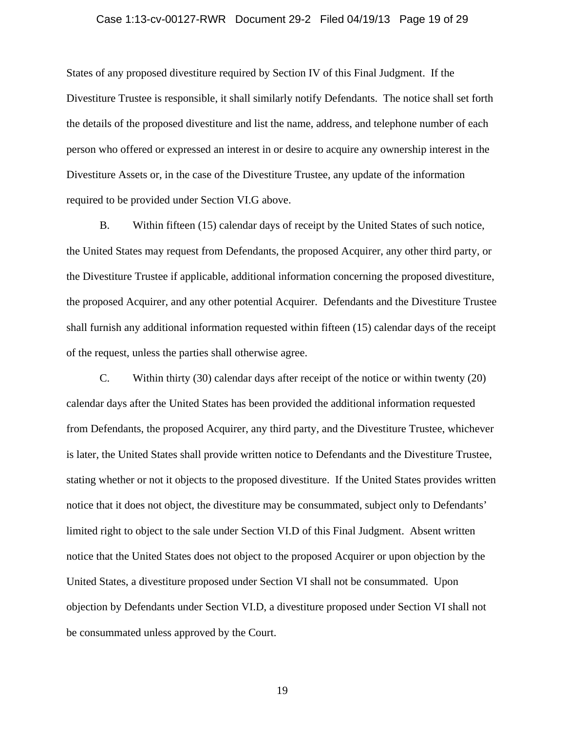#### Case 1:13-cv-00127-RWR Document 29-2 Filed 04/19/13 Page 19 of 29

States of any proposed divestiture required by Section IV of this Final Judgment. If the Divestiture Trustee is responsible, it shall similarly notify Defendants. The notice shall set forth the details of the proposed divestiture and list the name, address, and telephone number of each person who offered or expressed an interest in or desire to acquire any ownership interest in the Divestiture Assets or, in the case of the Divestiture Trustee, any update of the information required to be provided under Section VI.G above.

B. Within fifteen (15) calendar days of receipt by the United States of such notice, the United States may request from Defendants, the proposed Acquirer, any other third party, or the Divestiture Trustee if applicable, additional information concerning the proposed divestiture, the proposed Acquirer, and any other potential Acquirer. Defendants and the Divestiture Trustee shall furnish any additional information requested within fifteen (15) calendar days of the receipt of the request, unless the parties shall otherwise agree.

C. Within thirty (30) calendar days after receipt of the notice or within twenty (20) calendar days after the United States has been provided the additional information requested from Defendants, the proposed Acquirer, any third party, and the Divestiture Trustee, whichever is later, the United States shall provide written notice to Defendants and the Divestiture Trustee, stating whether or not it objects to the proposed divestiture. If the United States provides written notice that it does not object, the divestiture may be consummated, subject only to Defendants' limited right to object to the sale under Section VI.D of this Final Judgment. Absent written notice that the United States does not object to the proposed Acquirer or upon objection by the United States, a divestiture proposed under Section VI shall not be consummated. Upon objection by Defendants under Section VI.D, a divestiture proposed under Section VI shall not be consummated unless approved by the Court.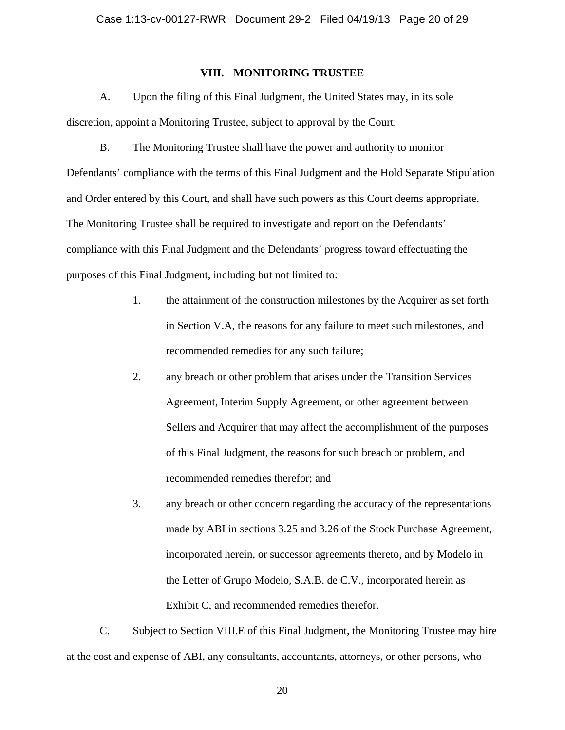## **VIII. MONITORING TRUSTEE**

A. Upon the filing of this Final Judgment, the United States may, in its sole discretion, appoint a Monitoring Trustee, subject to approval by the Court.

B. The Monitoring Trustee shall have the power and authority to monitor Defendants' compliance with the terms of this Final Judgment and the Hold Separate Stipulation and Order entered by this Court, and shall have such powers as this Court deems appropriate. The Monitoring Trustee shall be required to investigate and report on the Defendants' compliance with this Final Judgment and the Defendants' progress toward effectuating the purposes of this Final Judgment, including but not limited to:

- 1. the attainment of the construction milestones by the Acquirer as set forth in Section V.A, the reasons for any failure to meet such milestones, and recommended remedies for any such failure;
- 2. any breach or other problem that arises under the Transition Services Agreement, Interim Supply Agreement, or other agreement between Sellers and Acquirer that may affect the accomplishment of the purposes of this Final Judgment, the reasons for such breach or problem, and recommended remedies therefor; and
- 3. any breach or other concern regarding the accuracy of the representations made by ABI in sections 3.25 and 3.26 of the Stock Purchase Agreement, incorporated herein, or successor agreements thereto, and by Modelo in the Letter of Grupo Modelo, S.A.B. de C.V., incorporated herein as Exhibit C, and recommended remedies therefor.

C. Subject to Section VIII.E of this Final Judgment, the Monitoring Trustee may hire at the cost and expense of ABI, any consultants, accountants, attorneys, or other persons, who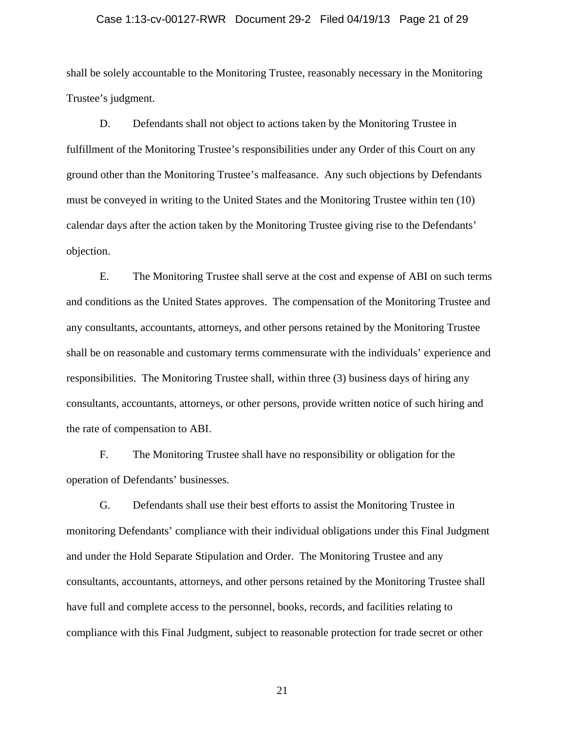#### Case 1:13-cv-00127-RWR Document 29-2 Filed 04/19/13 Page 21 of 29

shall be solely accountable to the Monitoring Trustee, reasonably necessary in the Monitoring Trustee's judgment.

D. Defendants shall not object to actions taken by the Monitoring Trustee in fulfillment of the Monitoring Trustee's responsibilities under any Order of this Court on any ground other than the Monitoring Trustee's malfeasance. Any such objections by Defendants must be conveyed in writing to the United States and the Monitoring Trustee within ten (10) calendar days after the action taken by the Monitoring Trustee giving rise to the Defendants' objection.

E. The Monitoring Trustee shall serve at the cost and expense of ABI on such terms and conditions as the United States approves. The compensation of the Monitoring Trustee and any consultants, accountants, attorneys, and other persons retained by the Monitoring Trustee shall be on reasonable and customary terms commensurate with the individuals' experience and responsibilities. The Monitoring Trustee shall, within three (3) business days of hiring any consultants, accountants, attorneys, or other persons, provide written notice of such hiring and the rate of compensation to ABI.

F. The Monitoring Trustee shall have no responsibility or obligation for the operation of Defendants' businesses.

G. Defendants shall use their best efforts to assist the Monitoring Trustee in monitoring Defendants' compliance with their individual obligations under this Final Judgment and under the Hold Separate Stipulation and Order. The Monitoring Trustee and any consultants, accountants, attorneys, and other persons retained by the Monitoring Trustee shall have full and complete access to the personnel, books, records, and facilities relating to compliance with this Final Judgment, subject to reasonable protection for trade secret or other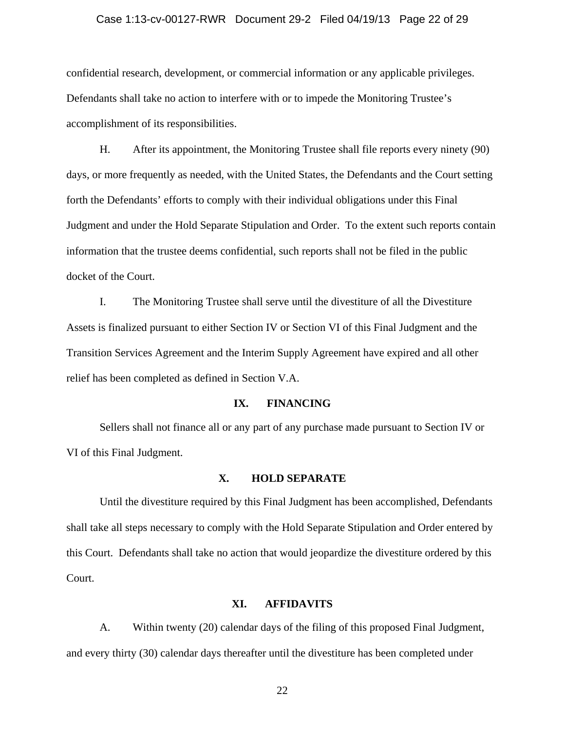#### Case 1:13-cv-00127-RWR Document 29-2 Filed 04/19/13 Page 22 of 29

confidential research, development, or commercial information or any applicable privileges. Defendants shall take no action to interfere with or to impede the Monitoring Trustee's accomplishment of its responsibilities.

H. After its appointment, the Monitoring Trustee shall file reports every ninety (90) days, or more frequently as needed, with the United States, the Defendants and the Court setting forth the Defendants' efforts to comply with their individual obligations under this Final Judgment and under the Hold Separate Stipulation and Order. To the extent such reports contain information that the trustee deems confidential, such reports shall not be filed in the public docket of the Court.

I. The Monitoring Trustee shall serve until the divestiture of all the Divestiture Assets is finalized pursuant to either Section IV or Section VI of this Final Judgment and the Transition Services Agreement and the Interim Supply Agreement have expired and all other relief has been completed as defined in Section V.A.

## **IX. FINANCING**

Sellers shall not finance all or any part of any purchase made pursuant to Section IV or VI of this Final Judgment.

## **X. HOLD SEPARATE**

Until the divestiture required by this Final Judgment has been accomplished, Defendants shall take all steps necessary to comply with the Hold Separate Stipulation and Order entered by this Court. Defendants shall take no action that would jeopardize the divestiture ordered by this Court.

### **XI. AFFIDAVITS**

A. Within twenty (20) calendar days of the filing of this proposed Final Judgment, and every thirty (30) calendar days thereafter until the divestiture has been completed under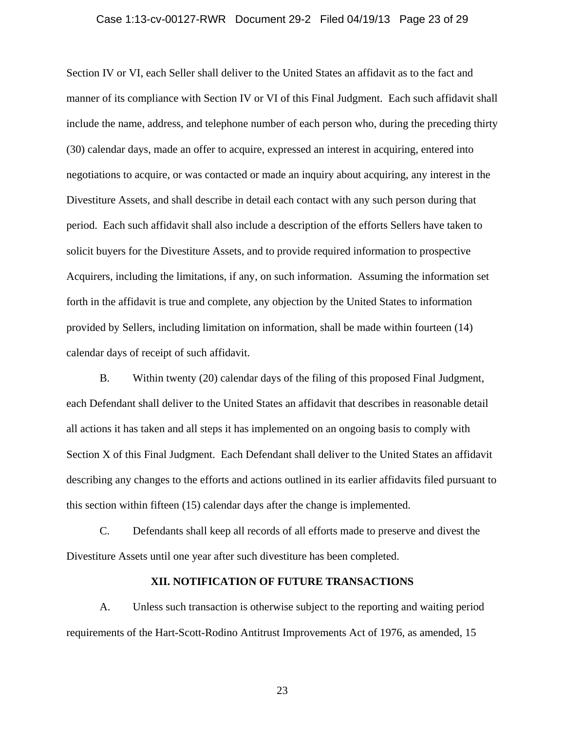#### Case 1:13-cv-00127-RWR Document 29-2 Filed 04/19/13 Page 23 of 29

Section IV or VI, each Seller shall deliver to the United States an affidavit as to the fact and manner of its compliance with Section IV or VI of this Final Judgment. Each such affidavit shall include the name, address, and telephone number of each person who, during the preceding thirty (30) calendar days, made an offer to acquire, expressed an interest in acquiring, entered into negotiations to acquire, or was contacted or made an inquiry about acquiring, any interest in the Divestiture Assets, and shall describe in detail each contact with any such person during that period. Each such affidavit shall also include a description of the efforts Sellers have taken to solicit buyers for the Divestiture Assets, and to provide required information to prospective Acquirers, including the limitations, if any, on such information. Assuming the information set forth in the affidavit is true and complete, any objection by the United States to information provided by Sellers, including limitation on information, shall be made within fourteen (14) calendar days of receipt of such affidavit.

B. Within twenty (20) calendar days of the filing of this proposed Final Judgment, each Defendant shall deliver to the United States an affidavit that describes in reasonable detail all actions it has taken and all steps it has implemented on an ongoing basis to comply with Section X of this Final Judgment. Each Defendant shall deliver to the United States an affidavit describing any changes to the efforts and actions outlined in its earlier affidavits filed pursuant to this section within fifteen (15) calendar days after the change is implemented.

C. Defendants shall keep all records of all efforts made to preserve and divest the Divestiture Assets until one year after such divestiture has been completed.

## **XII. NOTIFICATION OF FUTURE TRANSACTIONS**

A. Unless such transaction is otherwise subject to the reporting and waiting period requirements of the Hart-Scott-Rodino Antitrust Improvements Act of 1976, as amended, 15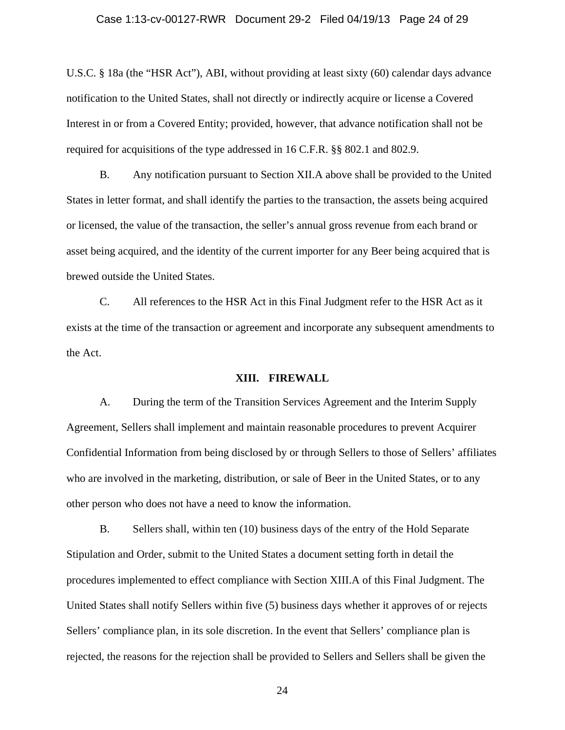### Case 1:13-cv-00127-RWR Document 29-2 Filed 04/19/13 Page 24 of 29

U.S.C. § 18a (the "HSR Act"), ABI, without providing at least sixty (60) calendar days advance notification to the United States, shall not directly or indirectly acquire or license a Covered Interest in or from a Covered Entity; provided, however, that advance notification shall not be required for acquisitions of the type addressed in 16 C.F.R. §§ 802.1 and 802.9.

B. Any notification pursuant to Section XII.A above shall be provided to the United States in letter format, and shall identify the parties to the transaction, the assets being acquired or licensed, the value of the transaction, the seller's annual gross revenue from each brand or asset being acquired, and the identity of the current importer for any Beer being acquired that is brewed outside the United States.

C. All references to the HSR Act in this Final Judgment refer to the HSR Act as it exists at the time of the transaction or agreement and incorporate any subsequent amendments to the Act.

### **XIII. FIREWALL**

A. During the term of the Transition Services Agreement and the Interim Supply Agreement, Sellers shall implement and maintain reasonable procedures to prevent Acquirer Confidential Information from being disclosed by or through Sellers to those of Sellers' affiliates who are involved in the marketing, distribution, or sale of Beer in the United States, or to any other person who does not have a need to know the information.

B. Sellers shall, within ten (10) business days of the entry of the Hold Separate Stipulation and Order, submit to the United States a document setting forth in detail the procedures implemented to effect compliance with Section XIII.A of this Final Judgment. The United States shall notify Sellers within five (5) business days whether it approves of or rejects Sellers' compliance plan, in its sole discretion. In the event that Sellers' compliance plan is rejected, the reasons for the rejection shall be provided to Sellers and Sellers shall be given the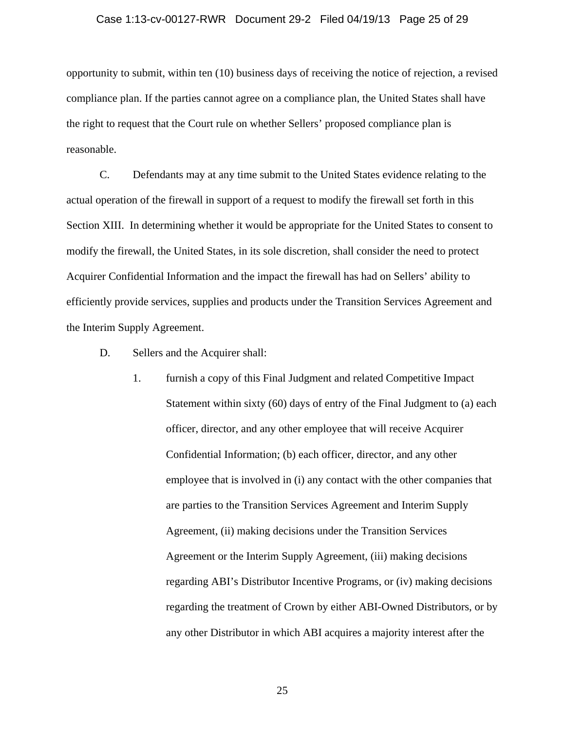## Case 1:13-cv-00127-RWR Document 29-2 Filed 04/19/13 Page 25 of 29

opportunity to submit, within ten (10) business days of receiving the notice of rejection, a revised compliance plan. If the parties cannot agree on a compliance plan, the United States shall have the right to request that the Court rule on whether Sellers' proposed compliance plan is reasonable.

C. Defendants may at any time submit to the United States evidence relating to the actual operation of the firewall in support of a request to modify the firewall set forth in this Section XIII. In determining whether it would be appropriate for the United States to consent to modify the firewall, the United States, in its sole discretion, shall consider the need to protect Acquirer Confidential Information and the impact the firewall has had on Sellers' ability to efficiently provide services, supplies and products under the Transition Services Agreement and the Interim Supply Agreement.

- D. Sellers and the Acquirer shall:
	- 1. furnish a copy of this Final Judgment and related Competitive Impact Statement within sixty (60) days of entry of the Final Judgment to (a) each officer, director, and any other employee that will receive Acquirer Confidential Information; (b) each officer, director, and any other employee that is involved in (i) any contact with the other companies that are parties to the Transition Services Agreement and Interim Supply Agreement, (ii) making decisions under the Transition Services Agreement or the Interim Supply Agreement, (iii) making decisions regarding ABI's Distributor Incentive Programs, or (iv) making decisions regarding the treatment of Crown by either ABI-Owned Distributors, or by any other Distributor in which ABI acquires a majority interest after the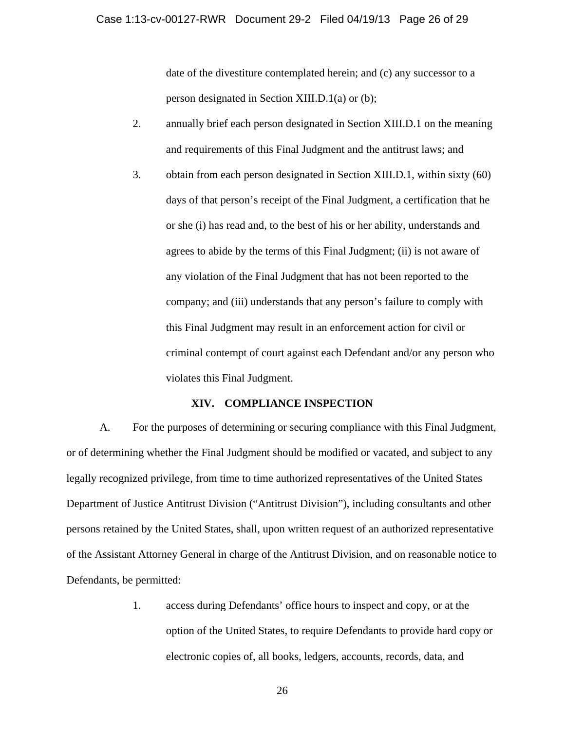date of the divestiture contemplated herein; and (c) any successor to a person designated in Section XIII.D.1(a) or (b);

- 2. annually brief each person designated in Section XIII.D.1 on the meaning and requirements of this Final Judgment and the antitrust laws; and
- 3. obtain from each person designated in Section XIII.D.1, within sixty (60) days of that person's receipt of the Final Judgment, a certification that he or she (i) has read and, to the best of his or her ability, understands and agrees to abide by the terms of this Final Judgment; (ii) is not aware of any violation of the Final Judgment that has not been reported to the company; and (iii) understands that any person's failure to comply with this Final Judgment may result in an enforcement action for civil or criminal contempt of court against each Defendant and/or any person who violates this Final Judgment.

## **XIV. COMPLIANCE INSPECTION**

A. For the purposes of determining or securing compliance with this Final Judgment, or of determining whether the Final Judgment should be modified or vacated, and subject to any legally recognized privilege, from time to time authorized representatives of the United States Department of Justice Antitrust Division ("Antitrust Division"), including consultants and other persons retained by the United States, shall, upon written request of an authorized representative of the Assistant Attorney General in charge of the Antitrust Division, and on reasonable notice to Defendants, be permitted:

> 1. access during Defendants' office hours to inspect and copy, or at the option of the United States, to require Defendants to provide hard copy or electronic copies of, all books, ledgers, accounts, records, data, and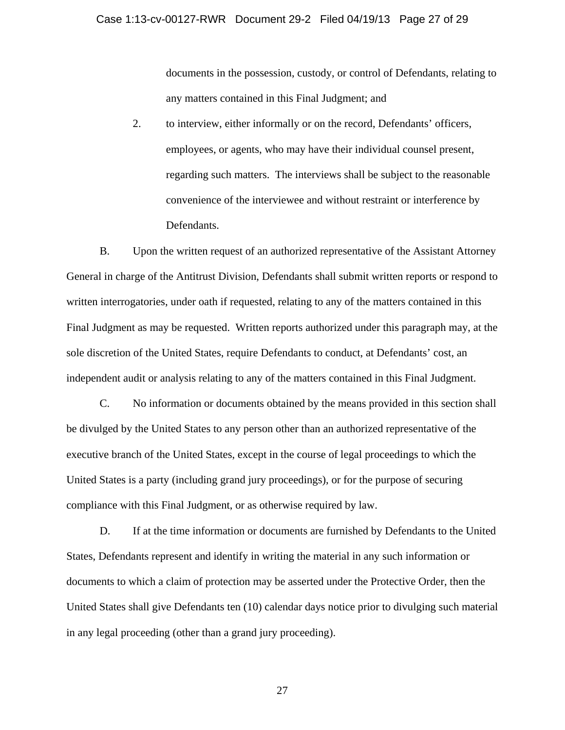documents in the possession, custody, or control of Defendants, relating to any matters contained in this Final Judgment; and

2. to interview, either informally or on the record, Defendants' officers, employees, or agents, who may have their individual counsel present, regarding such matters. The interviews shall be subject to the reasonable convenience of the interviewee and without restraint or interference by Defendants.

B. Upon the written request of an authorized representative of the Assistant Attorney General in charge of the Antitrust Division, Defendants shall submit written reports or respond to written interrogatories, under oath if requested, relating to any of the matters contained in this Final Judgment as may be requested. Written reports authorized under this paragraph may, at the sole discretion of the United States, require Defendants to conduct, at Defendants' cost, an independent audit or analysis relating to any of the matters contained in this Final Judgment.

C. No information or documents obtained by the means provided in this section shall be divulged by the United States to any person other than an authorized representative of the executive branch of the United States, except in the course of legal proceedings to which the United States is a party (including grand jury proceedings), or for the purpose of securing compliance with this Final Judgment, or as otherwise required by law.

D. If at the time information or documents are furnished by Defendants to the United States, Defendants represent and identify in writing the material in any such information or documents to which a claim of protection may be asserted under the Protective Order, then the United States shall give Defendants ten (10) calendar days notice prior to divulging such material in any legal proceeding (other than a grand jury proceeding).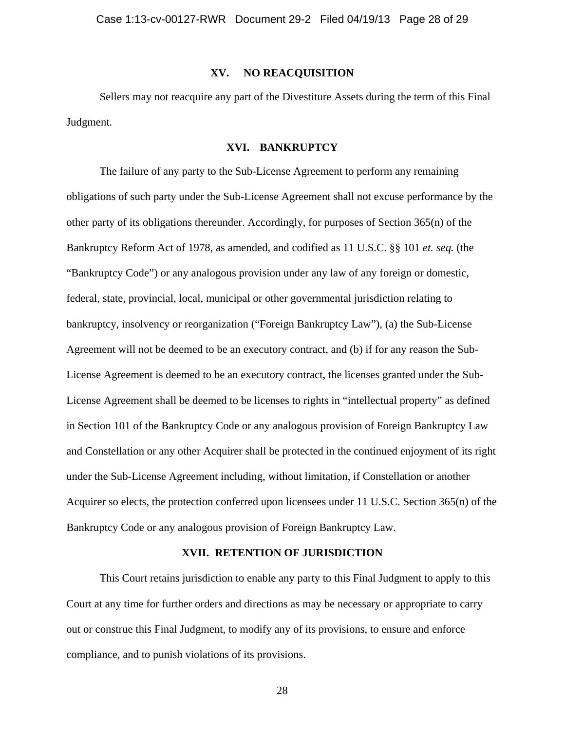### **XV. NO REACQUISITION**

Sellers may not reacquire any part of the Divestiture Assets during the term of this Final Judgment.

## **XVI. BANKRUPTCY**

The failure of any party to the Sub-License Agreement to perform any remaining obligations of such party under the Sub-License Agreement shall not excuse performance by the other party of its obligations thereunder. Accordingly, for purposes of Section 365(n) of the Bankruptcy Reform Act of 1978, as amended, and codified as 11 U.S.C. §§ 101 *et. seq.* (the "Bankruptcy Code") or any analogous provision under any law of any foreign or domestic, federal, state, provincial, local, municipal or other governmental jurisdiction relating to bankruptcy, insolvency or reorganization ("Foreign Bankruptcy Law"), (a) the Sub-License Agreement will not be deemed to be an executory contract, and (b) if for any reason the Sub-License Agreement is deemed to be an executory contract, the licenses granted under the Sub-License Agreement shall be deemed to be licenses to rights in "intellectual property" as defined in Section 101 of the Bankruptcy Code or any analogous provision of Foreign Bankruptcy Law and Constellation or any other Acquirer shall be protected in the continued enjoyment of its right under the Sub-License Agreement including, without limitation, if Constellation or another Acquirer so elects, the protection conferred upon licensees under 11 U.S.C. Section 365(n) of the Bankruptcy Code or any analogous provision of Foreign Bankruptcy Law.

### **XVII. RETENTION OF JURISDICTION**

This Court retains jurisdiction to enable any party to this Final Judgment to apply to this Court at any time for further orders and directions as may be necessary or appropriate to carry out or construe this Final Judgment, to modify any of its provisions, to ensure and enforce compliance, and to punish violations of its provisions.